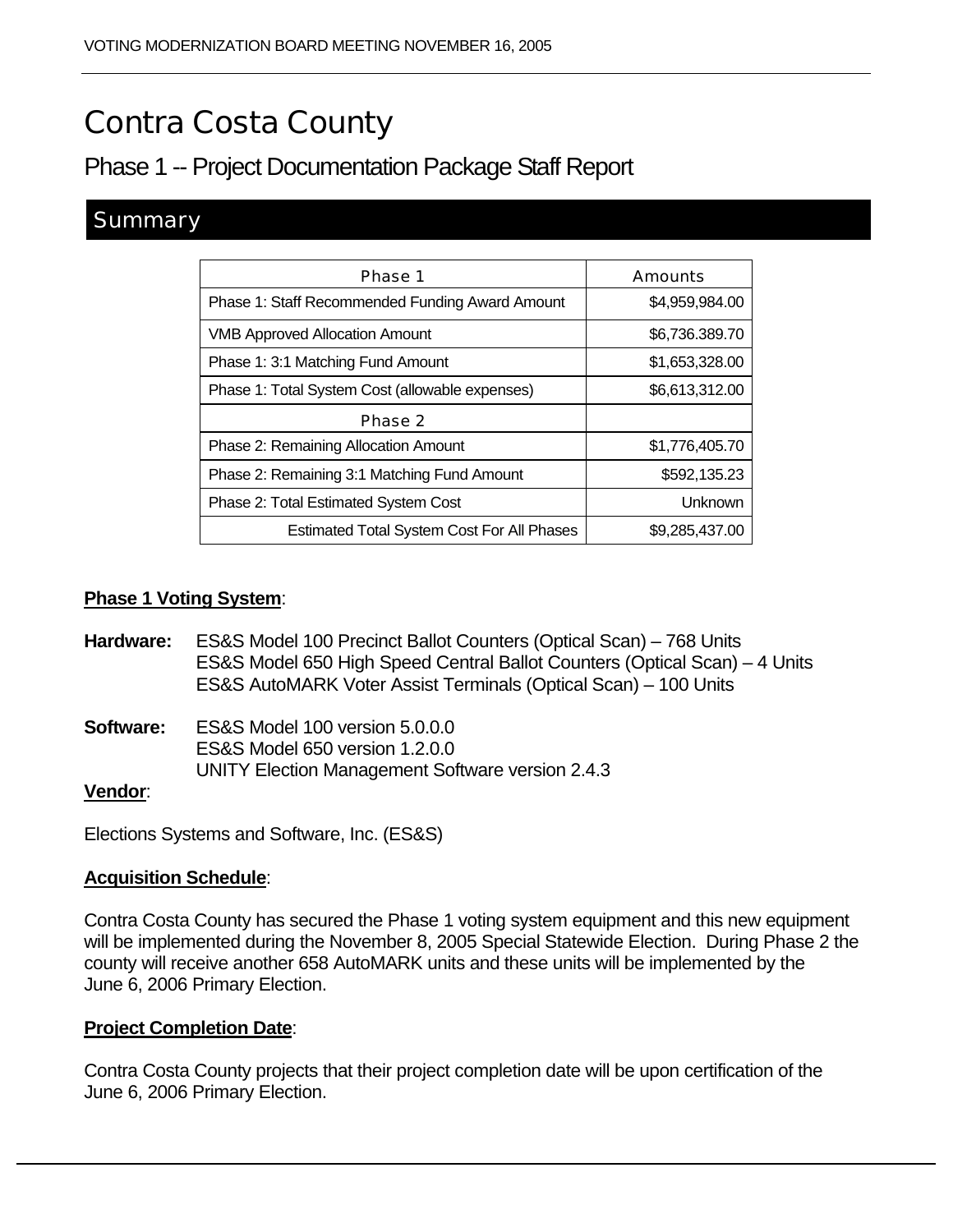# Contra Costa County

# Phase 1 -- Project Documentation Package Staff Report

# **Summary**

| Phase 1                                           | <b>Amounts</b> |
|---------------------------------------------------|----------------|
| Phase 1: Staff Recommended Funding Award Amount   | \$4,959,984.00 |
| <b>VMB Approved Allocation Amount</b>             | \$6,736.389.70 |
| Phase 1: 3:1 Matching Fund Amount                 | \$1,653,328.00 |
| Phase 1: Total System Cost (allowable expenses)   | \$6,613,312.00 |
| Phase 2                                           |                |
| <b>Phase 2: Remaining Allocation Amount</b>       | \$1,776,405.70 |
| Phase 2: Remaining 3:1 Matching Fund Amount       | \$592,135.23   |
| <b>Phase 2: Total Estimated System Cost</b>       | Unknown        |
| <b>Estimated Total System Cost For All Phases</b> | \$9,285,437.00 |

#### **Phase 1 Voting System**:

- **Hardware:** ES&S Model 100 Precinct Ballot Counters (Optical Scan) 768 Units ES&S Model 650 High Speed Central Ballot Counters (Optical Scan) – 4 Units ES&S AutoMARK Voter Assist Terminals (Optical Scan) – 100 Units
- **Software:** ES&S Model 100 version 5.0.0.0 ES&S Model 650 version 1.2.0.0 UNITY Election Management Software version 2.4.3

#### **Vendor**:

Elections Systems and Software, Inc. (ES&S)

#### **Acquisition Schedule**:

Contra Costa County has secured the Phase 1 voting system equipment and this new equipment will be implemented during the November 8, 2005 Special Statewide Election. During Phase 2 the county will receive another 658 AutoMARK units and these units will be implemented by the June 6, 2006 Primary Election.

#### **Project Completion Date**:

Contra Costa County projects that their project completion date will be upon certification of the June 6, 2006 Primary Election.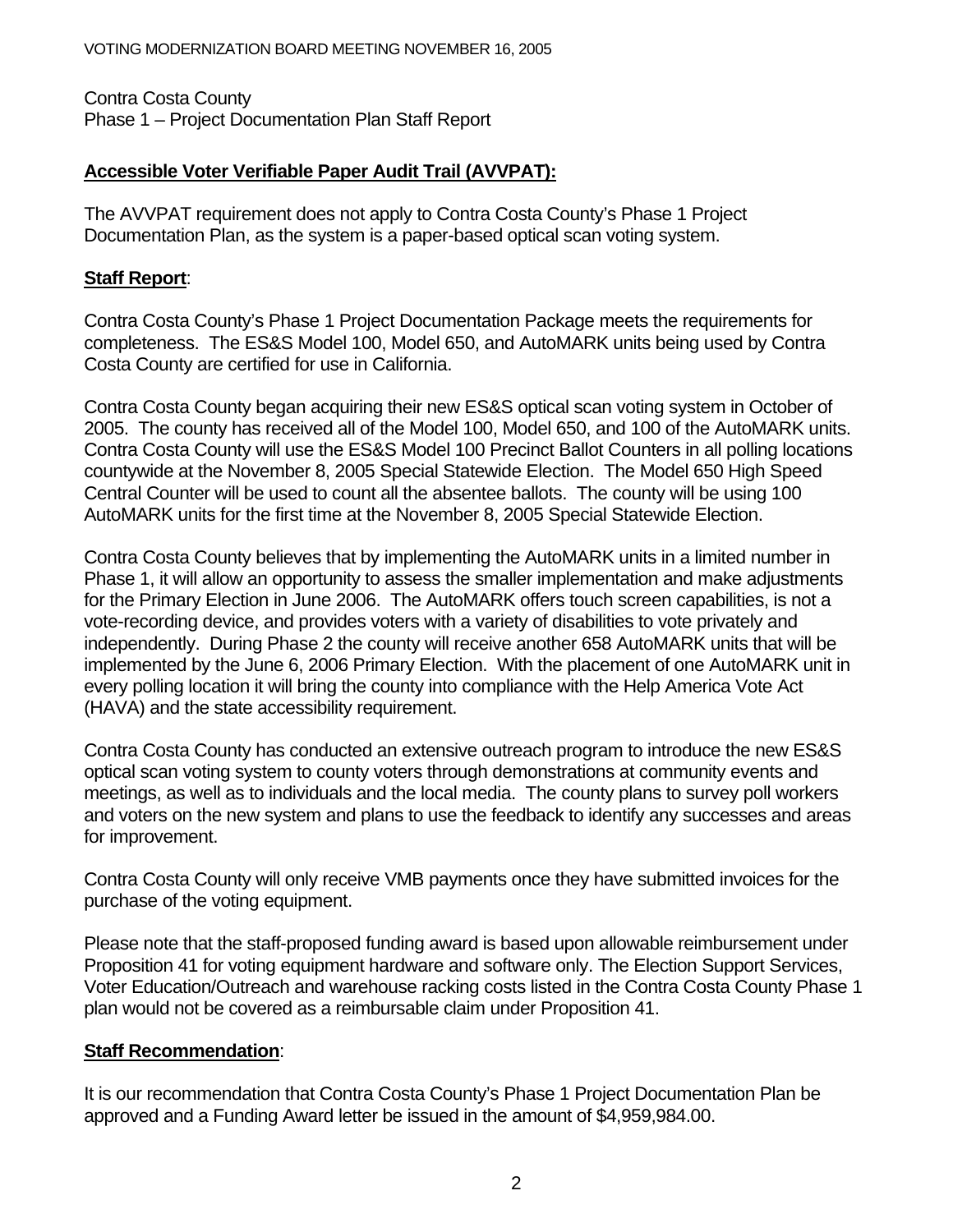Contra Costa County Phase 1 – Project Documentation Plan Staff Report

## **Accessible Voter Verifiable Paper Audit Trail (AVVPAT):**

The AVVPAT requirement does not apply to Contra Costa County's Phase 1 Project Documentation Plan, as the system is a paper-based optical scan voting system.

#### **Staff Report**:

Contra Costa County's Phase 1 Project Documentation Package meets the requirements for completeness. The ES&S Model 100, Model 650, and AutoMARK units being used by Contra Costa County are certified for use in California.

Contra Costa County began acquiring their new ES&S optical scan voting system in October of 2005. The county has received all of the Model 100, Model 650, and 100 of the AutoMARK units. Contra Costa County will use the ES&S Model 100 Precinct Ballot Counters in all polling locations countywide at the November 8, 2005 Special Statewide Election. The Model 650 High Speed Central Counter will be used to count all the absentee ballots. The county will be using 100 AutoMARK units for the first time at the November 8, 2005 Special Statewide Election.

Contra Costa County believes that by implementing the AutoMARK units in a limited number in Phase 1, it will allow an opportunity to assess the smaller implementation and make adjustments for the Primary Election in June 2006. The AutoMARK offers touch screen capabilities, is not a vote-recording device, and provides voters with a variety of disabilities to vote privately and independently. During Phase 2 the county will receive another 658 AutoMARK units that will be implemented by the June 6, 2006 Primary Election. With the placement of one AutoMARK unit in every polling location it will bring the county into compliance with the Help America Vote Act (HAVA) and the state accessibility requirement.

Contra Costa County has conducted an extensive outreach program to introduce the new ES&S optical scan voting system to county voters through demonstrations at community events and meetings, as well as to individuals and the local media. The county plans to survey poll workers and voters on the new system and plans to use the feedback to identify any successes and areas for improvement.

Contra Costa County will only receive VMB payments once they have submitted invoices for the purchase of the voting equipment.

Please note that the staff-proposed funding award is based upon allowable reimbursement under Proposition 41 for voting equipment hardware and software only. The Election Support Services, Voter Education/Outreach and warehouse racking costs listed in the Contra Costa County Phase 1 plan would not be covered as a reimbursable claim under Proposition 41.

## **Staff Recommendation**:

It is our recommendation that Contra Costa County's Phase 1 Project Documentation Plan be approved and a Funding Award letter be issued in the amount of \$4,959,984.00.